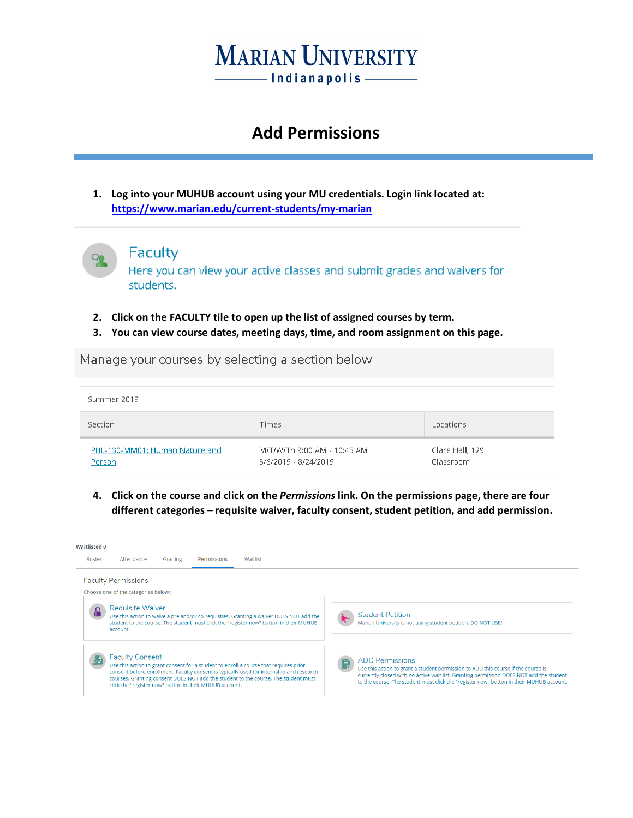

### **Add Permissions**

**1. Log into your MUHUB account using your MU credentials. Login link located at: <https://www.marian.edu/current-students/my-marian>**



#### Faculty

Here you can view your active classes and submit grades and waivers for students.

- **2. Click on the FACULTY tile to open up the list of assigned courses by term.**
- **3. You can view course dates, meeting days, time, and room assignment on this page.**

Manage your courses by selecting a section below

| Summer 2019                              |                                                     |                              |
|------------------------------------------|-----------------------------------------------------|------------------------------|
| Section                                  | <b>Times</b>                                        | Locations                    |
| PHL-130-MM01: Human Nature and<br>Person | M/T/W/Th 9:00 AM - 10:45 AM<br>5/6/2019 - 8/24/2019 | Clare Hall, 129<br>Classroom |

**4. Click on the course and click on the** *Permissions* **link. On the permissions page, there are four different categories – requisite waiver, faculty consent, student petition, and add permission.**

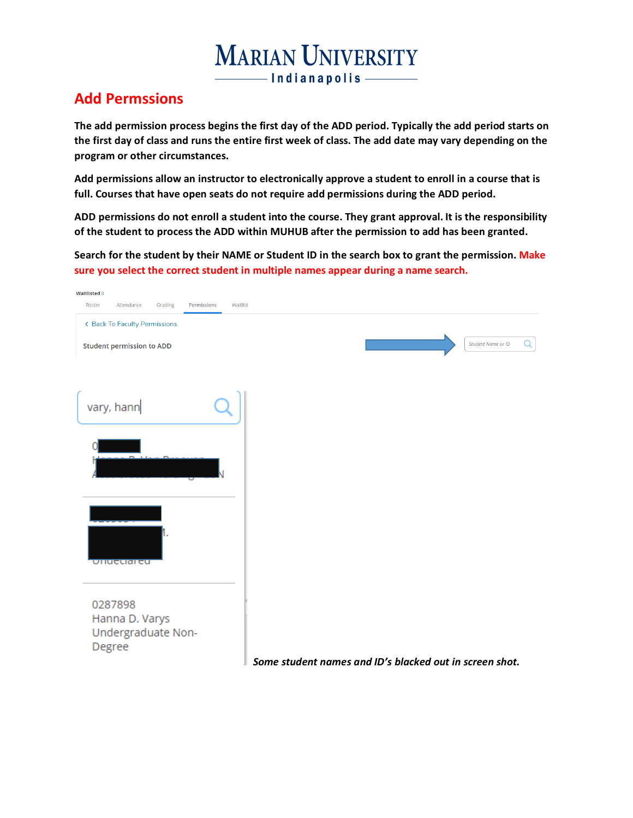# **MARIAN UNIVERSITY** - Indianapolis -

### **Add Permssions**

**The add permission process begins the first day of the ADD period. Typically the add period starts on the first day of class and runs the entire first week of class. The add date may vary depending on the program or other circumstances.** 

**Add permissions allow an instructor to electronically approve a student to enroll in a course that is full. Courses that have open seats do not require add permissions during the ADD period.**

**ADD permissions do not enroll a student into the course. They grant approval. It is the responsibility of the student to process the ADD within MUHUB after the permission to add has been granted.**

**Search for the student by their NAME or Student ID in the search box to grant the permission. Make sure you select the correct student in multiple names appear during a name search.**